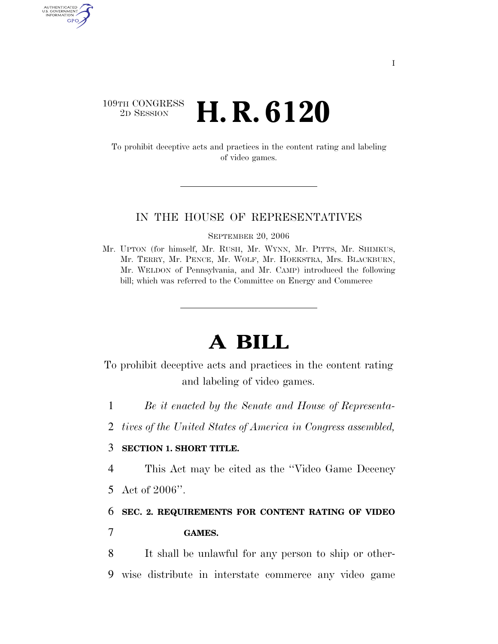## $\begin{array}{c} \text{109TH CONGRESS} \\ \text{2D Session} \end{array}$ 2D SESSION **H. R. 6120**

AUTHENTICATED<br>U.S. GOVERNMENT<br>INFORMATION GPO

> To prohibit deceptive acts and practices in the content rating and labeling of video games.

### IN THE HOUSE OF REPRESENTATIVES

SEPTEMBER 20, 2006

Mr. UPTON (for himself, Mr. RUSH, Mr. WYNN, Mr. PITTS, Mr. SHIMKUS, Mr. TERRY, Mr. PENCE, Mr. WOLF, Mr. HOEKSTRA, Mrs. BLACKBURN, Mr. WELDON of Pennsylvania, and Mr. CAMP) introduced the following bill; which was referred to the Committee on Energy and Commerce

# **A BILL**

To prohibit deceptive acts and practices in the content rating and labeling of video games.

- 1 *Be it enacted by the Senate and House of Representa-*
- 2 *tives of the United States of America in Congress assembled,*

## 3 **SECTION 1. SHORT TITLE.**

4 This Act may be cited as the ''Video Game Decency

5 Act of 2006''.

6 **SEC. 2. REQUIREMENTS FOR CONTENT RATING OF VIDEO** 

7 **GAMES.** 

8 It shall be unlawful for any person to ship or other-9 wise distribute in interstate commerce any video game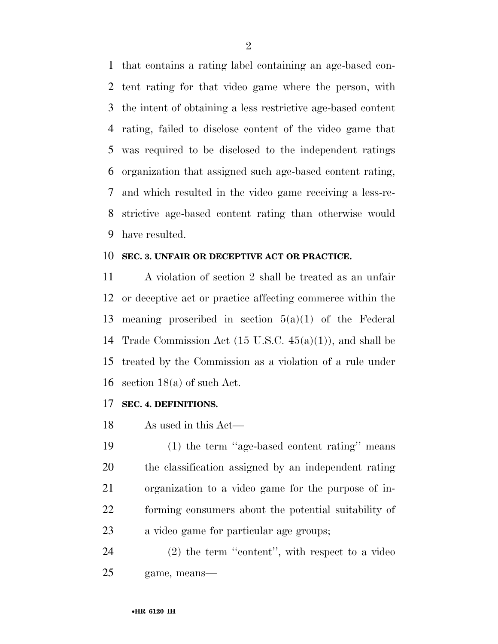that contains a rating label containing an age-based con- tent rating for that video game where the person, with the intent of obtaining a less restrictive age-based content rating, failed to disclose content of the video game that was required to be disclosed to the independent ratings organization that assigned such age-based content rating, and which resulted in the video game receiving a less-re- strictive age-based content rating than otherwise would have resulted.

#### **SEC. 3. UNFAIR OR DECEPTIVE ACT OR PRACTICE.**

 A violation of section 2 shall be treated as an unfair or deceptive act or practice affecting commerce within the meaning proscribed in section 5(a)(1) of the Federal Trade Commission Act (15 U.S.C. 45(a)(1)), and shall be treated by the Commission as a violation of a rule under section 18(a) of such Act.

## **SEC. 4. DEFINITIONS.**

As used in this Act—

 (1) the term ''age-based content rating'' means the classification assigned by an independent rating organization to a video game for the purpose of in- forming consumers about the potential suitability of a video game for particular age groups;

 (2) the term ''content'', with respect to a video game, means—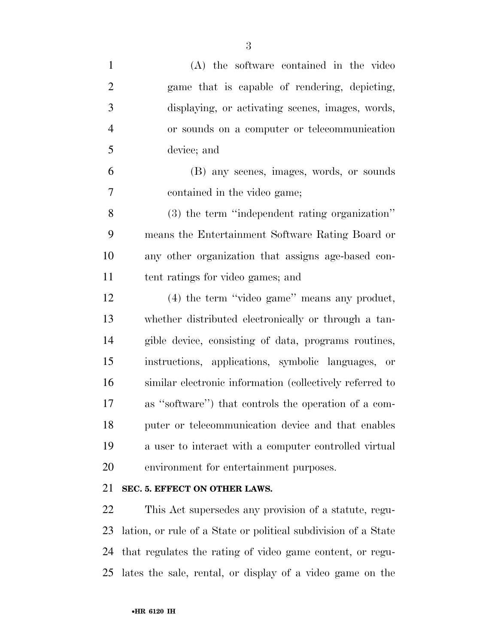| $\mathbf{1}$   | (A) the software contained in the video                        |
|----------------|----------------------------------------------------------------|
| $\overline{2}$ | game that is capable of rendering, depicting,                  |
| 3              | displaying, or activating scenes, images, words,               |
| $\overline{4}$ | or sounds on a computer or telecommunication                   |
| 5              | device; and                                                    |
| 6              | (B) any scenes, images, words, or sounds                       |
| 7              | contained in the video game;                                   |
| 8              | (3) the term "independent rating organization"                 |
| 9              | means the Entertainment Software Rating Board or               |
| 10             | any other organization that assigns age-based con-             |
| 11             | tent ratings for video games; and                              |
| 12             | $(4)$ the term "video game" means any product,                 |
| 13             | whether distributed electronically or through a tan-           |
| 14             | gible device, consisting of data, programs routines,           |
| 15             | instructions, applications, symbolic languages, or             |
| 16             | similar electronic information (collectively referred to       |
| 17             | as "software") that controls the operation of a com-           |
| 18             | puter or telecommunication device and that enables             |
| 19             | a user to interact with a computer controlled virtual          |
| 20             | environment for entertainment purposes.                        |
| 21             | SEC. 5. EFFECT ON OTHER LAWS.                                  |
| 22             | This Act supersedes any provision of a statute, regu-          |
| 23             | lation, or rule of a State or political subdivision of a State |
| 24             | that regulates the rating of video game content, or regu-      |

lates the sale, rental, or display of a video game on the